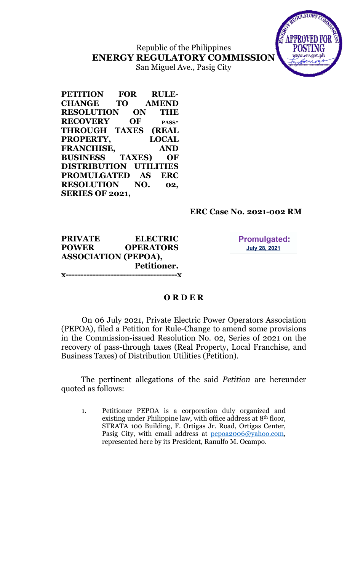# Republic of the Philippines ENERGY REGULATORY COMMISSION San Miguel Ave., Pasig City



## ERC Case No. 2021-002 RM

#### PRIVATE ELECTRIC POWER OPERATORS ASSOCIATION (PEPOA), Petitioner. x-------------------------------------x

**Promulgated: July 28, 2021** 

## O R D E R

On 06 July 2021, Private Electric Power Operators Association (PEPOA), filed a Petition for Rule-Change to amend some provisions in the Commission-issued Resolution No. 02, Series of 2021 on the recovery of pass-through taxes (Real Property, Local Franchise, and Business Taxes) of Distribution Utilities (Petition).

The pertinent allegations of the said Petition are hereunder quoted as follows:

1. Petitioner PEPOA is a corporation duly organized and existing under Philippine law, with office address at 8th floor, STRATA 100 Building, F. Ortigas Jr. Road, Ortigas Center, Pasig City, with email address at pepoa2006@yahoo.com, represented here by its President, Ranulfo M. Ocampo.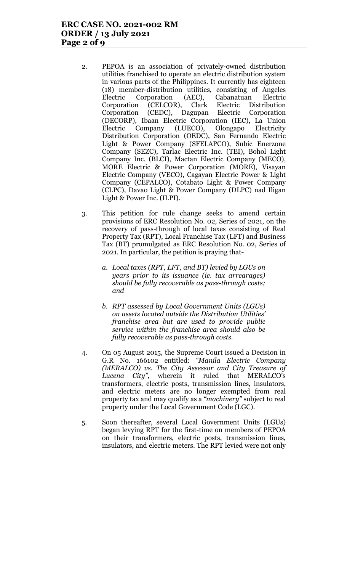- 2. PEPOA is an association of privately-owned distribution utilities franchised to operate an electric distribution system in various parts of the Philippines. It currently has eighteen (18) member-distribution utilities, consisting of Angeles Electric Corporation (AEC), Cabanatuan Electric Corporation (CELCOR), Clark Electric Distribution Corporation (CEDC), Dagupan Electric Corporation (DECORP), Ibaan Electric Corporation (IEC), La Union Electric Company (LUECO), Olongapo Electricity Distribution Corporation (OEDC), San Fernando Electric Light & Power Company (SFELAPCO), Subic Enerzone Company (SEZC), Tarlac Electric Inc. (TEI), Bohol Light Company Inc. (BLCI), Mactan Electric Company (MECO), MORE Electric & Power Corporation (MORE), Visayan Electric Company (VECO), Cagayan Electric Power & Light Company (CEPALCO), Cotabato Light & Power Company (CLPC), Davao Light & Power Company (DLPC) nad Iligan Light & Power Inc. (ILPI).
- 3. This petition for rule change seeks to amend certain provisions of ERC Resolution No. 02, Series of 2021, on the recovery of pass-through of local taxes consisting of Real Property Tax (RPT), Local Franchise Tax (LFT) and Business Tax (BT) promulgated as ERC Resolution No. 02, Series of 2021. In particular, the petition is praying that
	- a. Local taxes (RPT, LFT, and BT) levied by LGUs on years prior to its issuance (ie. tax arrearages) should be fully recoverable as pass-through costs; and
	- b. RPT assessed by Local Government Units (LGUs) on assets located outside the Distribution Utilities' franchise area but are used to provide public service within the franchise area should also be fully recoverable as pass-through costs.
- 4. On 05 August 2015, the Supreme Court issued a Decision in G.R No. 166102 entitled: "Manila Electric Company (MERALCO) vs. The City Assessor and City Treasure of Lucena City", wherein it ruled that MERALCO's transformers, electric posts, transmission lines, insulators, and electric meters are no longer exempted from real property tax and may qualify as a "machinery" subject to real property under the Local Government Code (LGC).
- 5. Soon thereafter, several Local Government Units (LGUs) began levying RPT for the first-time on members of PEPOA on their transformers, electric posts, transmission lines, insulators, and electric meters. The RPT levied were not only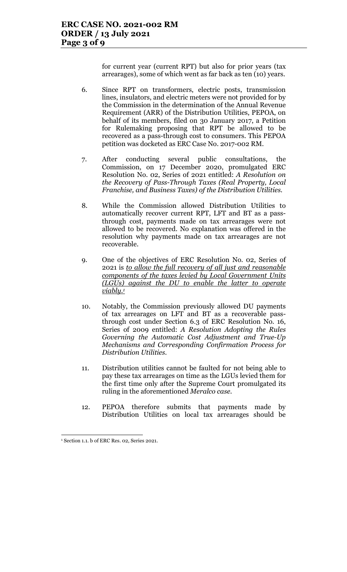for current year (current RPT) but also for prior years (tax arrearages), some of which went as far back as ten (10) years.

- 6. Since RPT on transformers, electric posts, transmission lines, insulators, and electric meters were not provided for by the Commission in the determination of the Annual Revenue Requirement (ARR) of the Distribution Utilities, PEPOA, on behalf of its members, filed on 30 January 2017, a Petition for Rulemaking proposing that RPT be allowed to be recovered as a pass-through cost to consumers. This PEPOA petition was docketed as ERC Case No. 2017-002 RM.
- 7. After conducting several public consultations, the Commission, on 17 December 2020, promulgated ERC Resolution No. 02, Series of 2021 entitled: A Resolution on the Recovery of Pass-Through Taxes (Real Property, Local Franchise, and Business Taxes) of the Distribution Utilities.
- 8. While the Commission allowed Distribution Utilities to automatically recover current RPT, LFT and BT as a passthrough cost, payments made on tax arrearages were not allowed to be recovered. No explanation was offered in the resolution why payments made on tax arrearages are not recoverable.
- 9. One of the objectives of ERC Resolution No. 02, Series of 2021 is to allow the full recovery of all just and reasonable components of the taxes levied by Local Government Units (LGUs) against the DU to enable the latter to operate  $viably.<sup>1</sup>$
- 10. Notably, the Commission previously allowed DU payments of tax arrearages on LFT and BT as a recoverable passthrough cost under Section 6.3 of ERC Resolution No. 16, Series of 2009 entitled: A Resolution Adopting the Rules Governing the Automatic Cost Adjustment and True-Up Mechanisms and Corresponding Confirmation Process for Distribution Utilities.
- 11. Distribution utilities cannot be faulted for not being able to pay these tax arrearages on time as the LGUs levied them for the first time only after the Supreme Court promulgated its ruling in the aforementioned Meralco case.
- 12. PEPOA therefore submits that payments made by Distribution Utilities on local tax arrearages should be

 $\overline{a}$ 1 Section 1.1. b of ERC Res. 02, Series 2021.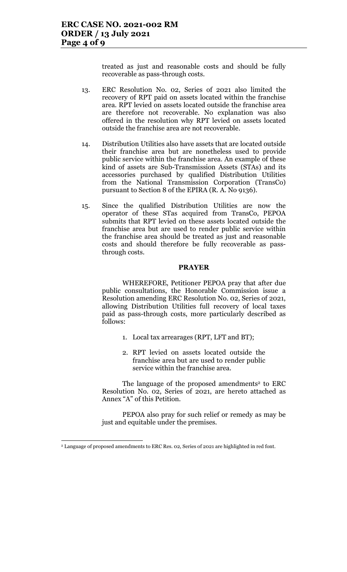treated as just and reasonable costs and should be fully recoverable as pass-through costs.

- 13. ERC Resolution No. 02, Series of 2021 also limited the recovery of RPT paid on assets located within the franchise area. RPT levied on assets located outside the franchise area are therefore not recoverable. No explanation was also offered in the resolution why RPT levied on assets located outside the franchise area are not recoverable.
- 14. Distribution Utilities also have assets that are located outside their franchise area but are nonetheless used to provide public service within the franchise area. An example of these kind of assets are Sub-Transmission Assets (STAs) and its accessories purchased by qualified Distribution Utilities from the National Transmission Corporation (TransCo) pursuant to Section 8 of the EPIRA (R. A. No 9136).
- 15. Since the qualified Distribution Utilities are now the operator of these STas acquired from TransCo, PEPOA submits that RPT levied on these assets located outside the franchise area but are used to render public service within the franchise area should be treated as just and reasonable costs and should therefore be fully recoverable as passthrough costs.

#### PRAYER

WHEREFORE, Petitioner PEPOA pray that after due public consultations, the Honorable Commission issue a Resolution amending ERC Resolution No. 02, Series of 2021, allowing Distribution Utilities full recovery of local taxes paid as pass-through costs, more particularly described as follows:

- 1. Local tax arrearages (RPT, LFT and BT);
- 2. RPT levied on assets located outside the franchise area but are used to render public service within the franchise area.

The language of the proposed amendments<sup>2</sup> to ERC Resolution No. 02, Series of 2021, are hereto attached as Annex "A" of this Petition.

PEPOA also pray for such relief or remedy as may be just and equitable under the premises.

<sup>2</sup> Language of proposed amendments to ERC Res. 02, Series of 2021 are highlighted in red font.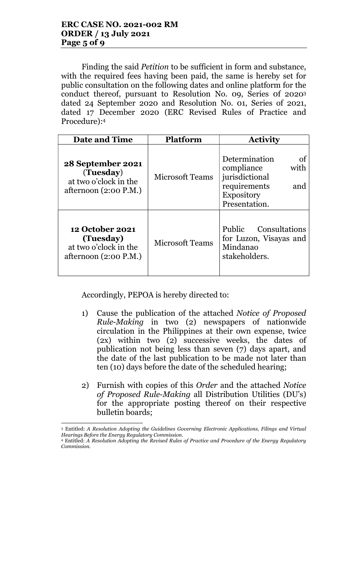Finding the said *Petition* to be sufficient in form and substance, with the required fees having been paid, the same is hereby set for public consultation on the following dates and online platform for the conduct thereof, pursuant to Resolution No. 09, Series 0f 2020<sup>3</sup> dated 24 September 2020 and Resolution No. 01, Series of 2021, dated 17 December 2020 (ERC Revised Rules of Practice and Procedure):<sup>4</sup>

| <b>Date and Time</b>                                                                    | <b>Platform</b>        | <b>Activity</b>                                                                                                          |
|-----------------------------------------------------------------------------------------|------------------------|--------------------------------------------------------------------------------------------------------------------------|
| 28 September 2021<br>(Tuesday)<br>at two o'clock in the<br>afternoon $(2:00 P.M.)$      | <b>Microsoft Teams</b> | Determination<br>οf<br>compliance<br>with<br>jurisdictional<br>requirements<br>and<br><b>Expository</b><br>Presentation. |
| <b>12 October 2021</b><br>(Tuesday)<br>at two o'clock in the<br>afternoon $(2:00 P.M.)$ | <b>Microsoft Teams</b> | Public Consultations<br>for Luzon, Visayas and<br>Mindanao<br>stakeholders.                                              |

Accordingly, PEPOA is hereby directed to:

- 1) Cause the publication of the attached Notice of Proposed Rule-Making in two (2) newspapers of nationwide circulation in the Philippines at their own expense, twice (2x) within two (2) successive weeks, the dates of publication not being less than seven (7) days apart, and the date of the last publication to be made not later than ten (10) days before the date of the scheduled hearing;
- 2) Furnish with copies of this Order and the attached Notice of Proposed Rule-Making all Distribution Utilities (DU's) for the appropriate posting thereof on their respective bulletin boards;

 $\overline{a}$ 3 Entitled: A Resolution Adopting the Guidelines Governing Electronic Applications, Filings and Virtual Hearings Before the Energy Regulatory Commission.

<sup>4</sup> Entitled: A Resolution Adopting the Revised Rules of Practice and Procedure of the Energy Regulatory Commission.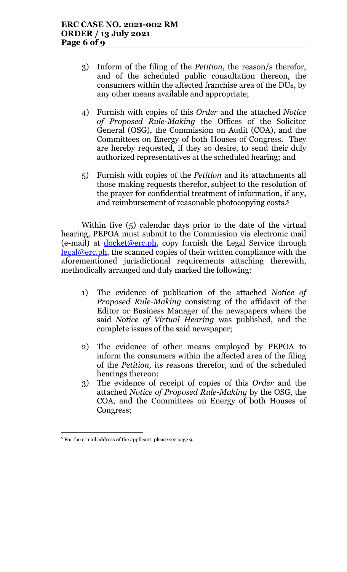- 3) Inform of the filing of the Petition, the reason/s therefor, and of the scheduled public consultation thereon, the consumers within the affected franchise area of the DUs, by any other means available and appropriate;
- 4) Furnish with copies of this Order and the attached Notice of Proposed Rule-Making the Offices of the Solicitor General (OSG), the Commission on Audit (COA), and the Committees on Energy of both Houses of Congress. They are hereby requested, if they so desire, to send their duly authorized representatives at the scheduled hearing; and
- 5) Furnish with copies of the Petition and its attachments all those making requests therefor, subject to the resolution of the prayer for confidential treatment of information, if any, and reimbursement of reasonable photocopying costs.<sup>5</sup>

Within five (5) calendar days prior to the date of the virtual hearing, PEPOA must submit to the Commission via electronic mail (e-mail) at  $d$ <sub>O</sub>cket@erc.ph, copy furnish the Legal Service through legal@erc.ph, the scanned copies of their written compliance with the aforementioned jurisdictional requirements attaching therewith, methodically arranged and duly marked the following:

- 1) The evidence of publication of the attached Notice of Proposed Rule-Making consisting of the affidavit of the Editor or Business Manager of the newspapers where the said Notice of Virtual Hearing was published, and the complete issues of the said newspaper;
- 2) The evidence of other means employed by PEPOA to inform the consumers within the affected area of the filing of the Petition, its reasons therefor, and of the scheduled hearings thereon;
- 3) The evidence of receipt of copies of this Order and the attached Notice of Proposed Rule-Making by the OSG, the COA, and the Committees on Energy of both Houses of Congress;

<sup>5</sup> For the e-mail address of the applicant, please see page 9.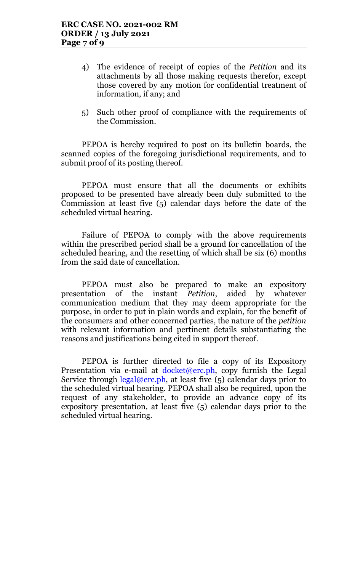- 4) The evidence of receipt of copies of the Petition and its attachments by all those making requests therefor, except those covered by any motion for confidential treatment of information, if any; and
- 5) Such other proof of compliance with the requirements of the Commission.

PEPOA is hereby required to post on its bulletin boards, the scanned copies of the foregoing jurisdictional requirements, and to submit proof of its posting thereof.

PEPOA must ensure that all the documents or exhibits proposed to be presented have already been duly submitted to the Commission at least five (5) calendar days before the date of the scheduled virtual hearing.

Failure of PEPOA to comply with the above requirements within the prescribed period shall be a ground for cancellation of the scheduled hearing, and the resetting of which shall be six (6) months from the said date of cancellation.

PEPOA must also be prepared to make an expository presentation of the instant Petition, aided by whatever communication medium that they may deem appropriate for the purpose, in order to put in plain words and explain, for the benefit of the consumers and other concerned parties, the nature of the petition with relevant information and pertinent details substantiating the reasons and justifications being cited in support thereof.

PEPOA is further directed to file a copy of its Expository Presentation via e-mail at <u>docket@erc.ph</u>, copy furnish the Legal Service through  $\frac{\text{legal@erc.ph}}{\text{length}}$ , at least five (5) calendar days prior to the scheduled virtual hearing. PEPOA shall also be required, upon the request of any stakeholder, to provide an advance copy of its expository presentation, at least five (5) calendar days prior to the scheduled virtual hearing.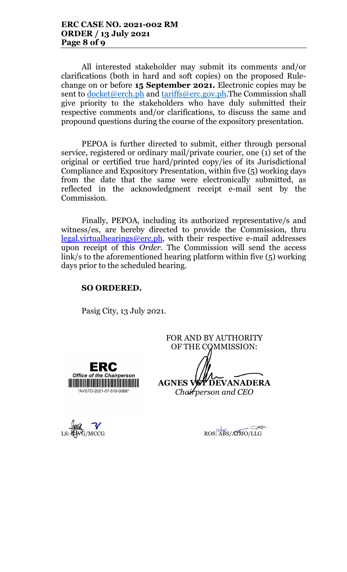All interested stakeholder may submit its comments and/or clarifications (both in hard and soft copies) on the proposed Rulechange on or before 15 September 2021. Electronic copies may be sent to docket@erch.ph and tariffs@erc.gov.ph.The Commission shall give priority to the stakeholders who have duly submitted their respective comments and/or clarifications, to discuss the same and propound questions during the course of the expository presentation.

PEPOA is further directed to submit, either through personal service, registered or ordinary mail/private courier, one (1) set of the original or certified true hard/printed copy/ies of its Jurisdictional Compliance and Expository Presentation, within five (5) working days from the date that the same were electronically submitted, as reflected in the acknowledgment receipt e-mail sent by the Commission.

Finally, PEPOA, including its authorized representative/s and witness/es, are hereby directed to provide the Commission, thru legal.virtualhearings@erc.ph, with their respective e-mail addresses upon receipt of this *Order*. The Commission will send the access link/s to the aforementioned hearing platform within five (5) working days prior to the scheduled hearing.

### SO ORDERED.

Pasig City, 13 July 2021.

FOR AND BY AUTHORITY OF THE COMMISSION:



AGNES VST DEVANADERA Chairperson and CEO

 $\overline{\mathscr{A}}$ LS: BJVG/MCCG ROS: ABS/AJMO/LLG